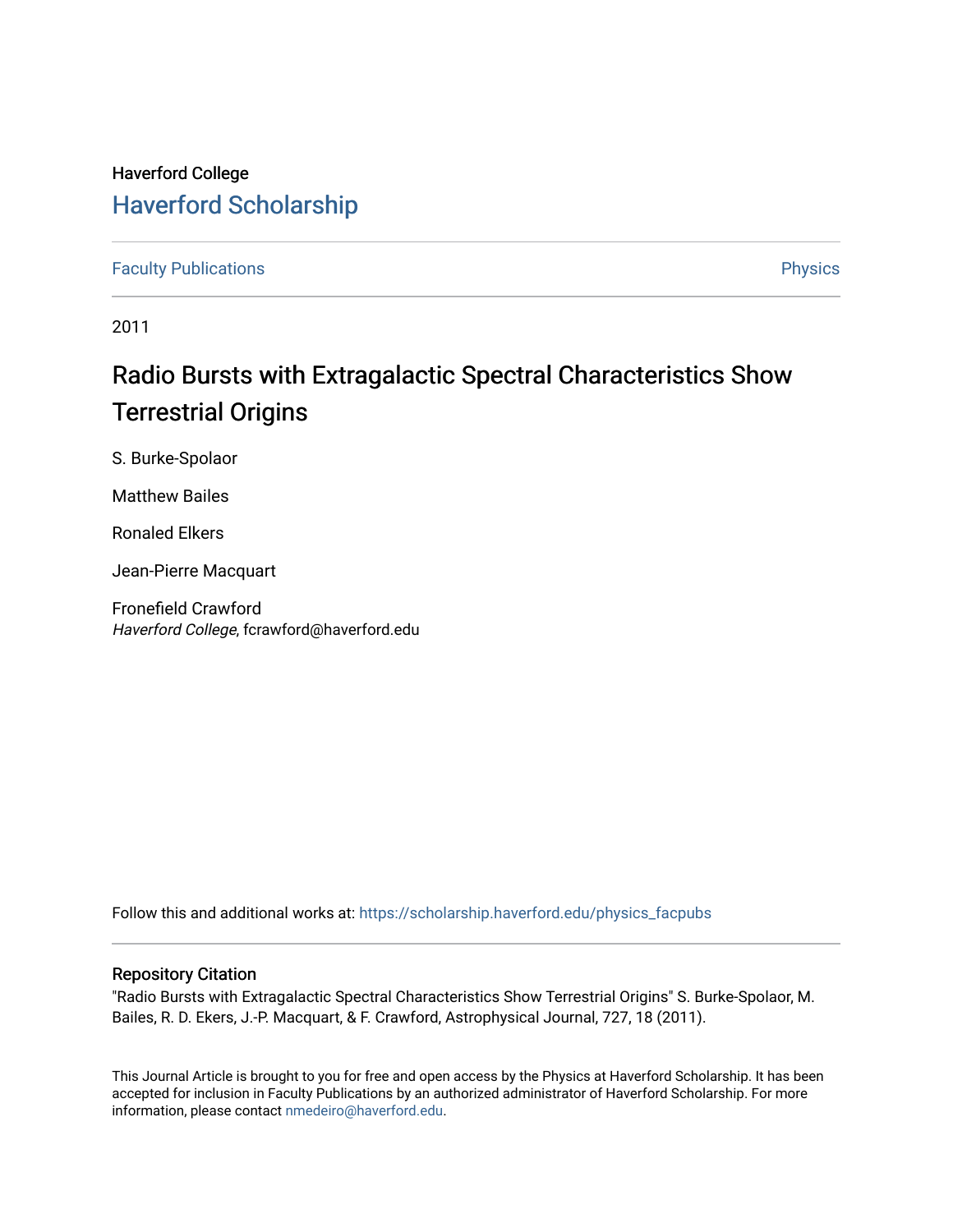# Haverford College [Haverford Scholarship](https://scholarship.haverford.edu/)

[Faculty Publications](https://scholarship.haverford.edu/physics_facpubs) **Physics** 

2011

# Radio Bursts with Extragalactic Spectral Characteristics Show Terrestrial Origins

S. Burke-Spolaor

Matthew Bailes

Ronaled Elkers

Jean-Pierre Macquart

Fronefield Crawford Haverford College, fcrawford@haverford.edu

Follow this and additional works at: [https://scholarship.haverford.edu/physics\\_facpubs](https://scholarship.haverford.edu/physics_facpubs?utm_source=scholarship.haverford.edu%2Fphysics_facpubs%2F389&utm_medium=PDF&utm_campaign=PDFCoverPages) 

# Repository Citation

"Radio Bursts with Extragalactic Spectral Characteristics Show Terrestrial Origins" S. Burke-Spolaor, M. Bailes, R. D. Ekers, J.-P. Macquart, & F. Crawford, Astrophysical Journal, 727, 18 (2011).

This Journal Article is brought to you for free and open access by the Physics at Haverford Scholarship. It has been accepted for inclusion in Faculty Publications by an authorized administrator of Haverford Scholarship. For more information, please contact [nmedeiro@haverford.edu.](mailto:nmedeiro@haverford.edu)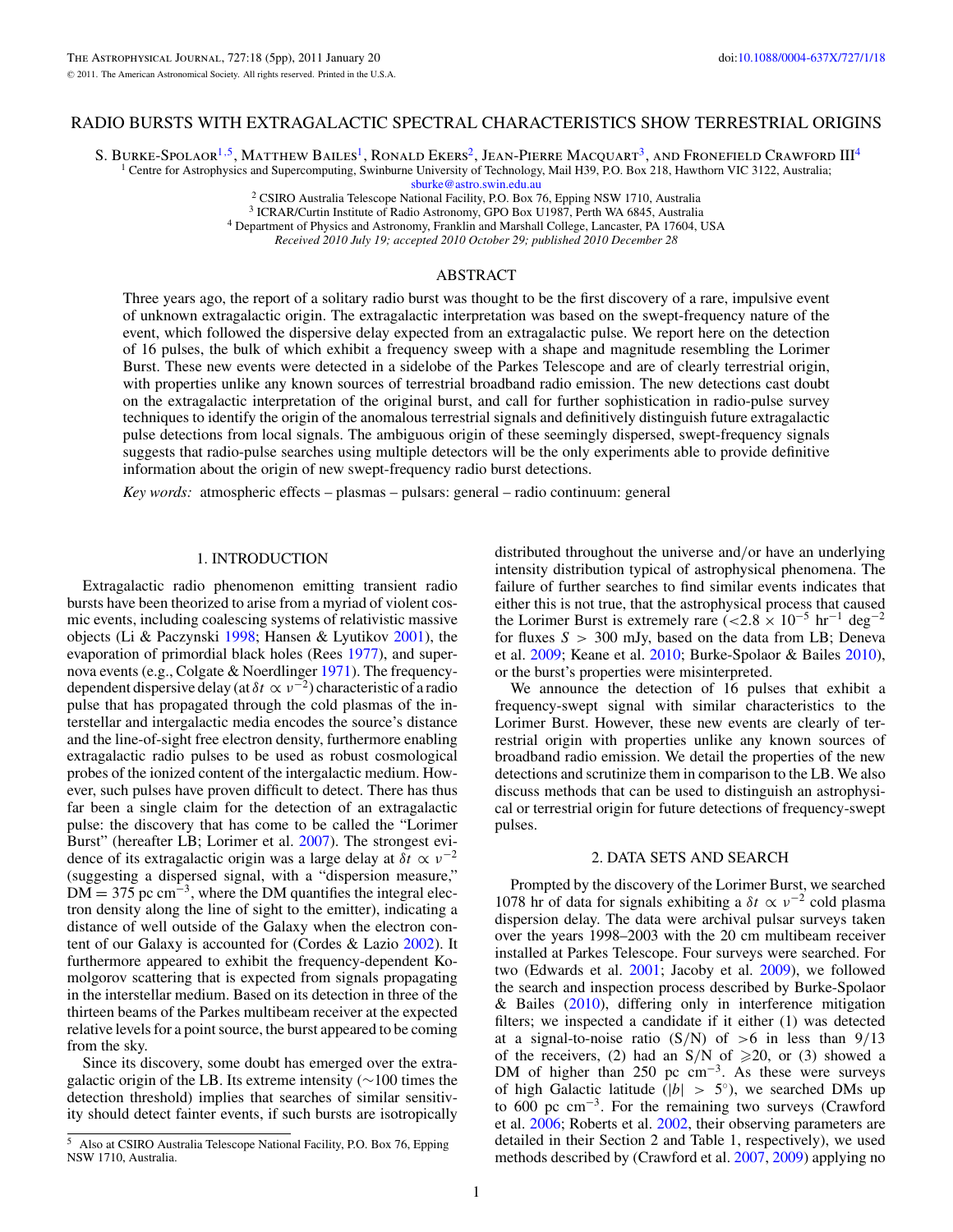# <span id="page-1-0"></span>RADIO BURSTS WITH EXTRAGALACTIC SPECTRAL CHARACTERISTICS SHOW TERRESTRIAL ORIGINS

S. Burke-Spolaor<sup>1,5</sup>, Matthew Bailes<sup>1</sup>, Ronald Ekers<sup>2</sup>, Jean-Pierre Macquart<sup>3</sup>, and Fronefield Crawford III<sup>4</sup>

<sup>1</sup> Centre for Astrophysics and Supercomputing, Swinburne University of Technology, Mail H39, P.O. Box 218, Hawthorn VIC 3122, Australia;

[sburke@astro.swin.edu.au](mailto:sburke@astro.swin.edu.au)<br>
<sup>2</sup> CSIRO Australia Telescope National Facility, P.O. Box 76, Epping NSW 1710, Australia<br>
<sup>3</sup> ICRAR/Curtin Institute of Radio Astronomy, GPO Box U1987, Perth WA 6845, Australia<br>
<sup>4</sup> Department of

*Received 2010 July 19; accepted 2010 October 29; published 2010 December 28*

# ABSTRACT

Three years ago, the report of a solitary radio burst was thought to be the first discovery of a rare, impulsive event of unknown extragalactic origin. The extragalactic interpretation was based on the swept-frequency nature of the event, which followed the dispersive delay expected from an extragalactic pulse. We report here on the detection of 16 pulses, the bulk of which exhibit a frequency sweep with a shape and magnitude resembling the Lorimer Burst. These new events were detected in a sidelobe of the Parkes Telescope and are of clearly terrestrial origin, with properties unlike any known sources of terrestrial broadband radio emission. The new detections cast doubt on the extragalactic interpretation of the original burst, and call for further sophistication in radio-pulse survey techniques to identify the origin of the anomalous terrestrial signals and definitively distinguish future extragalactic pulse detections from local signals. The ambiguous origin of these seemingly dispersed, swept-frequency signals suggests that radio-pulse searches using multiple detectors will be the only experiments able to provide definitive information about the origin of new swept-frequency radio burst detections.

*Key words:* atmospheric effects – plasmas – pulsars: general – radio continuum: general

## 1. INTRODUCTION

Extragalactic radio phenomenon emitting transient radio bursts have been theorized to arise from a myriad of violent cosmic events, including coalescing systems of relativistic massive objects (Li & Paczynski [1998;](#page-5-0) Hansen & Lyutikov [2001\)](#page-5-0), the evaporation of primordial black holes (Rees [1977\)](#page-5-0), and supernova events (e.g., Colgate & Noerdlinger [1971\)](#page-5-0). The frequencydependent dispersive delay (at  $\delta t \propto v^{-2}$ ) characteristic of a radio pulse that has propagated through the cold plasmas of the interstellar and intergalactic media encodes the source's distance and the line-of-sight free electron density, furthermore enabling extragalactic radio pulses to be used as robust cosmological probes of the ionized content of the intergalactic medium. However, such pulses have proven difficult to detect. There has thus far been a single claim for the detection of an extragalactic pulse: the discovery that has come to be called the "Lorimer Burst" (hereafter LB; Lorimer et al. [2007\)](#page-5-0). The strongest evidence of its extragalactic origin was a large delay at  $\delta t \propto v^{-2}$ (suggesting a dispersed signal, with a "dispersion measure,"  $DM = 375$  pc cm<sup>-3</sup>, where the DM quantifies the integral electron density along the line of sight to the emitter), indicating a distance of well outside of the Galaxy when the electron content of our Galaxy is accounted for (Cordes & Lazio [2002\)](#page-5-0). It furthermore appeared to exhibit the frequency-dependent Komolgorov scattering that is expected from signals propagating in the interstellar medium. Based on its detection in three of the thirteen beams of the Parkes multibeam receiver at the expected relative levels for a point source, the burst appeared to be coming from the sky.

Since its discovery, some doubt has emerged over the extragalactic origin of the LB. Its extreme intensity (∼100 times the detection threshold) implies that searches of similar sensitivity should detect fainter events, if such bursts are isotropically distributed throughout the universe and*/*or have an underlying intensity distribution typical of astrophysical phenomena. The failure of further searches to find similar events indicates that either this is not true, that the astrophysical process that caused the Lorimer Burst is extremely rare  $(<2.8 \times 10^{-5} \text{ hr}^{-1} \text{ deg}^{-2}$ for fluxes *S >* 300 mJy, based on the data from LB; Deneva et al. [2009;](#page-5-0) Keane et al. [2010;](#page-5-0) Burke-Spolaor & Bailes [2010\)](#page-5-0), or the burst's properties were misinterpreted.

We announce the detection of 16 pulses that exhibit a frequency-swept signal with similar characteristics to the Lorimer Burst. However, these new events are clearly of terrestrial origin with properties unlike any known sources of broadband radio emission. We detail the properties of the new detections and scrutinize them in comparison to the LB. We also discuss methods that can be used to distinguish an astrophysical or terrestrial origin for future detections of frequency-swept pulses.

#### 2. DATA SETS AND SEARCH

Prompted by the discovery of the Lorimer Burst, we searched 1078 hr of data for signals exhibiting a  $\delta t \propto v^{-2}$  cold plasma dispersion delay. The data were archival pulsar surveys taken over the years 1998–2003 with the 20 cm multibeam receiver installed at Parkes Telescope. Four surveys were searched. For two (Edwards et al. [2001;](#page-5-0) Jacoby et al. [2009\)](#page-5-0), we followed the search and inspection process described by Burke-Spolaor & Bailes [\(2010\)](#page-5-0), differing only in interference mitigation filters; we inspected a candidate if it either (1) was detected at a signal-to-noise ratio  $(S/N)$  of  $>6$  in less than  $9/13$ of the receivers, (2) had an  $S/N$  of  $\geq 20$ , or (3) showed a DM of higher than 250 pc  $cm^{-3}$ . As these were surveys of high Galactic latitude ( $|b| > 5^\circ$ ), we searched DMs up to 600 pc cm−3. For the remaining two surveys (Crawford et al. [2006;](#page-5-0) Roberts et al. [2002,](#page-5-0) their observing parameters are detailed in their Section 2 and Table 1, respectively), we used methods described by (Crawford et al. [2007,](#page-5-0) [2009\)](#page-5-0) applying no

<sup>5</sup> Also at CSIRO Australia Telescope National Facility, P.O. Box 76, Epping NSW 1710, Australia.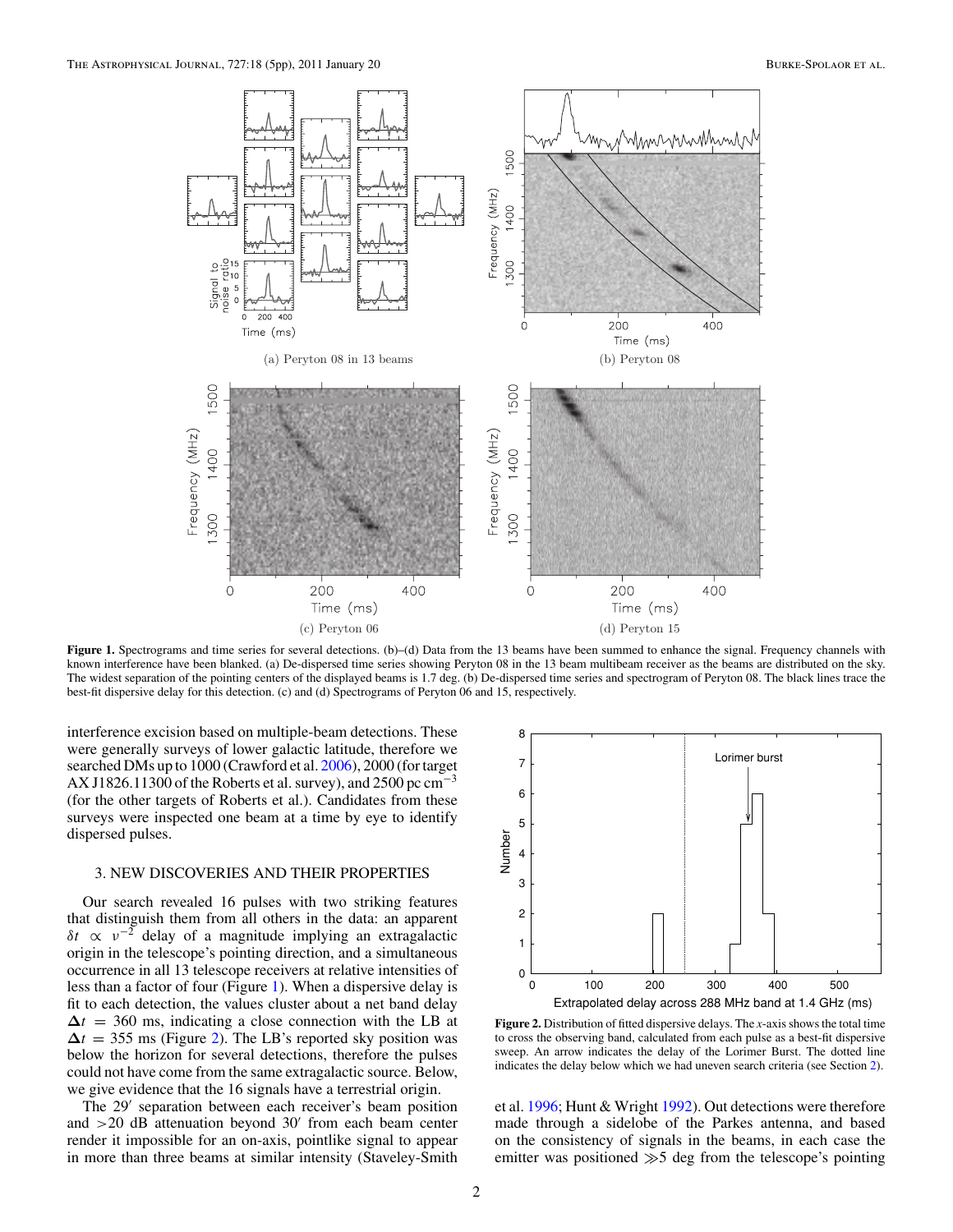<span id="page-2-0"></span>

Figure 1. Spectrograms and time series for several detections. (b)–(d) Data from the 13 beams have been summed to enhance the signal. Frequency channels with known interference have been blanked. (a) De-dispersed time series showing Peryton 08 in the 13 beam multibeam receiver as the beams are distributed on the sky. The widest separation of the pointing centers of the displayed beams is 1.7 deg. (b) De-dispersed time series and spectrogram of Peryton 08. The black lines trace the best-fit dispersive delay for this detection. (c) and (d) Spectrograms of Peryton 06 and 15, respectively.

interference excision based on multiple-beam detections. These were generally surveys of lower galactic latitude, therefore we searched DMs up to 1000 (Crawford et al. [2006\)](#page-5-0), 2000 (for target AX J1826.11300 of the Roberts et al. survey), and 2500 pc cm<sup>-3</sup> (for the other targets of Roberts et al.). Candidates from these surveys were inspected one beam at a time by eye to identify dispersed pulses.

# 3. NEW DISCOVERIES AND THEIR PROPERTIES

Our search revealed 16 pulses with two striking features that distinguish them from all others in the data: an apparent *δt* <sup>∝</sup> *<sup>ν</sup>*−<sup>2</sup> delay of a magnitude implying an extragalactic origin in the telescope's pointing direction, and a simultaneous occurrence in all 13 telescope receivers at relative intensities of less than a factor of four (Figure 1). When a dispersive delay is fit to each detection, the values cluster about a net band delay  $\Delta t = 360$  ms, indicating a close connection with the LB at  $\Delta t = 355$  ms (Figure 2). The LB's reported sky position was below the horizon for several detections, therefore the pulses could not have come from the same extragalactic source. Below, we give evidence that the 16 signals have a terrestrial origin.

The 29' separation between each receiver's beam position and  $>$ 20 dB attenuation beyond 30' from each beam center render it impossible for an on-axis, pointlike signal to appear in more than three beams at similar intensity (Staveley-Smith



**Figure 2.** Distribution of fitted dispersive delays. The *x*-axis shows the total time to cross the observing band, calculated from each pulse as a best-fit dispersive sweep. An arrow indicates the delay of the Lorimer Burst. The dotted line indicates the delay below which we had uneven search criteria (see Section [2\)](#page-1-0).

et al. [1996;](#page-5-0) Hunt & Wright [1992\)](#page-5-0). Out detections were therefore made through a sidelobe of the Parkes antenna, and based on the consistency of signals in the beams, in each case the emitter was positioned  $\gg$  5 deg from the telescope's pointing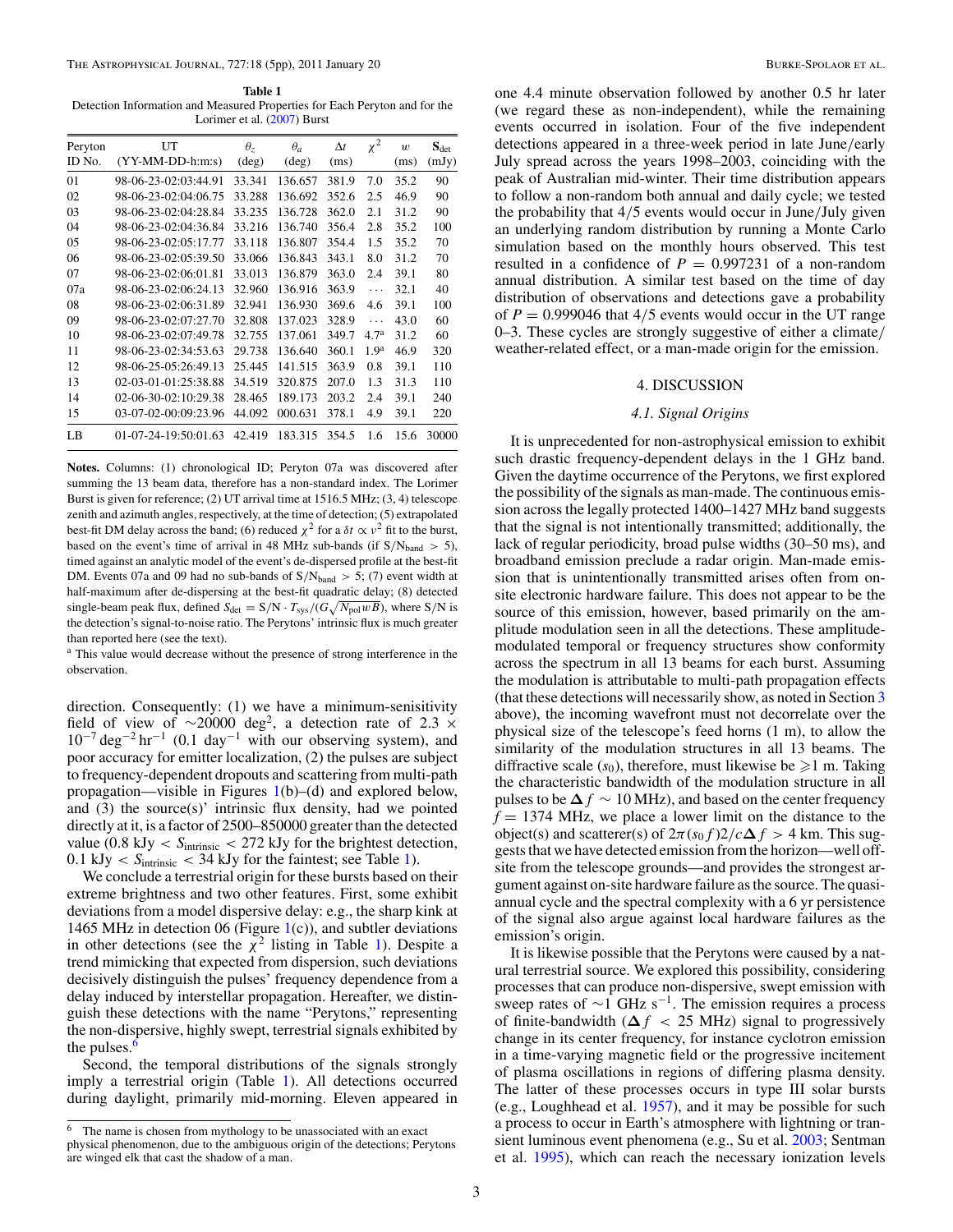<span id="page-3-0"></span>**Table 1** Detection Information and Measured Properties for Each Peryton and for the Lorimer et al. (2007) Burst

| Peryton | UT                   | $\theta_z$     | $\theta_a$     | $\Delta t$ | $\chi^2$         | w    | $S_{\text{det}}$ |
|---------|----------------------|----------------|----------------|------------|------------------|------|------------------|
| ID No.  | $(YY-MM-DD-h:m:s)$   | $(\text{deg})$ | $(\text{deg})$ | (ms)       |                  | (ms) | (mJy)            |
| 01      | 98-06-23-02:03:44.91 | 33.341         | 136.657        | 381.9      | 7.0              | 35.2 | 90               |
| 02      | 98-06-23-02:04:06.75 | 33.288         | 136.692        | 352.6      | 2.5              | 46.9 | 90               |
| 03      | 98-06-23-02:04:28.84 | 33.235         | 136.728        | 362.0      | 2.1              | 31.2 | 90               |
| 04      | 98-06-23-02:04:36.84 | 33.216         | 136.740        | 356.4      | 2.8              | 35.2 | 100              |
| 05      | 98-06-23-02:05:17.77 | 33.118         | 136.807        | 354.4      | 1.5              | 35.2 | 70               |
| 06      | 98-06-23-02:05:39.50 | 33.066         | 136.843        | 343.1      | 8.0              | 31.2 | 70               |
| 07      | 98-06-23-02:06:01.81 | 33.013         | 136.879        | 363.0      | 2.4              | 39.1 | 80               |
| 07a     | 98-06-23-02:06:24.13 | 32.960         | 136.916        | 363.9      | .                | 32.1 | 40               |
| 08      | 98-06-23-02:06:31.89 | 32.941         | 136.930        | 369.6      | 4.6              | 39.1 | 100              |
| 09      | 98-06-23-02:07:27.70 | 32.808         | 137.023        | 328.9      | .                | 43.0 | 60               |
| 10      | 98-06-23-02:07:49.78 | 32.755         | 137.061        | 349.7      | 4.7 <sup>a</sup> | 31.2 | 60               |
| 11      | 98-06-23-02:34:53.63 | 29.738         | 136.640        | 360.1      | 1.9 <sup>a</sup> | 46.9 | 320              |
| 12      | 98-06-25-05:26:49.13 | 25.445         | 141.515        | 363.9      | 0.8              | 39.1 | 110              |
| 13      | 02-03-01-01:25:38.88 | 34.519         | 320.875        | 207.0      | 1.3              | 31.3 | 110              |
| 14      | 02-06-30-02:10:29.38 | 28.465         | 189.173        | 203.2      | 2.4              | 39.1 | 240              |
| 15      | 03-07-02-00:09:23.96 | 44.092         | 000.631        | 378.1      | 4.9              | 39.1 | 220              |
| LB      | 01-07-24-19:50:01.63 | 42.419         | 183.315        | 354.5      | 1.6              | 15.6 | 30000            |

Notes. Columns: (1) chronological ID; Peryton 07a was discovered after summing the 13 beam data, therefore has a non-standard index. The Lorimer Burst is given for reference; (2) UT arrival time at 1516.5 MHz; (3, 4) telescope zenith and azimuth angles, respectively, at the time of detection; (5) extrapolated best-fit DM delay across the band; (6) reduced  $\chi^2$  for a  $\delta t \propto v^2$  fit to the burst, based on the event's time of arrival in 48 MHz sub-bands (if  $S/N_{band} > 5$ ), timed against an analytic model of the event's de-dispersed profile at the best-fit DM. Events 07a and 09 had no sub-bands of  $S/N_{band} > 5$ ; (7) event width at half-maximum after de-dispersing at the best-fit quadratic delay; (8) detected single-beam peak flux, defined  $S_{\text{det}} = S/N \cdot T_{\text{sys}}/(G\sqrt{N_{\text{pol}}wB})$ , where S/N is the detection's signal-to-noise ratio. The Perytons' intrinsic flux is much greater than reported here (see the text).

<sup>a</sup> This value would decrease without the presence of strong interference in the observation.

direction. Consequently: (1) we have a minimum-senisitivity field of view of  $\sim$ 20000 deg<sup>2</sup>, a detection rate of 2.3  $\times$  $10^{-7}$  deg<sup>-2</sup> hr<sup>-1</sup> (0.1 day<sup>-1</sup> with our observing system), and poor accuracy for emitter localization,  $(2)$  the pulses are subject to frequency-dependent dropouts and scattering from multi-path propagation—visible in Figures  $1(b)$ –(d) and explored below, and  $(3)$  the source $(s)$  intrinsic flux density, had we pointed directly at it, is a factor of 2500-850000 greater than the detected value (0.8 kJy  $\langle$  S<sub>intrinsic</sub>  $\langle$  272 kJy for the brightest detection,  $0.1$  kJy <  $S_{intrinsic}$  < 34 kJy for the faintest; see Table 1).

We conclude a terrestrial origin for these bursts based on their extreme brightness and two other features. First, some exhibit deviations from a model dispersive delay: e.g., the sharp kink at 1465 MHz in detection 06 (Figure 1(c)), and subtler deviations in other detections (see the  $\chi^2$  listing in Table 1). Despite a trend mimicking that expected from dispersion, such deviations decisively distinguish the pulses' frequency dependence from a delay induced by interstellar propagation. Hereafter, we distinguish these detections with the name "Perytons," representing the non-dispersive, highly swept, terrestrial signals exhibited by the pulses.<sup>6</sup>

Second, the temporal distributions of the signals strongly imply a terrestrial origin (Table 1). All detections occurred during daylight, primarily mid-morning. Eleven appeared in

one 4.4 minute observation followed by another 0.5 hr later (we regard these as non-independent), while the remaining events occurred in isolation. Four of the five independent detections appeared in a three-week period in late June/early July spread across the years 1998-2003, coinciding with the peak of Australian mid-winter. Their time distribution appears to follow a non-random both annual and daily cycle; we tested the probability that  $4/5$  events would occur in June/July given an underlying random distribution by running a Monte Carlo simulation based on the monthly hours observed. This test resulted in a confidence of  $P = 0.997231$  of a non-random annual distribution. A similar test based on the time of day distribution of observations and detections gave a probability of  $P = 0.999046$  that 4/5 events would occur in the UT range 0–3. These cycles are strongly suggestive of either a climate/ weather-related effect, or a man-made origin for the emission.

#### 4. DISCUSSION

#### 4.1. Signal Origins

It is unprecedented for non-astrophysical emission to exhibit such drastic frequency-dependent delays in the 1 GHz band. Given the daytime occurrence of the Perytons, we first explored the possibility of the signals as man-made. The continuous emission across the legally protected 1400–1427 MHz band suggests that the signal is not intentionally transmitted; additionally, the lack of regular periodicity, broad pulse widths (30–50 ms), and broadband emission preclude a radar origin. Man-made emission that is unintentionally transmitted arises often from onsite electronic hardware failure. This does not appear to be the source of this emission, however, based primarily on the amplitude modulation seen in all the detections. These amplitudemodulated temporal or frequency structures show conformity across the spectrum in all 13 beams for each burst. Assuming the modulation is attributable to multi-path propagation effects (that these detections will necessarily show, as noted in Section 3 above), the incoming wavefront must not decorrelate over the physical size of the telescope's feed horns (1 m), to allow the similarity of the modulation structures in all 13 beams. The diffractive scale  $(s_0)$ , therefore, must likewise be  $\geq 1$  m. Taking the characteristic bandwidth of the modulation structure in all pulses to be  $\Delta f \sim 10 \text{ MHz}$ , and based on the center frequency  $f = 1374$  MHz, we place a lower limit on the distance to the object(s) and scatterer(s) of  $2\pi (s_0 f)2/c\Delta f > 4$  km. This suggests that we have detected emission from the horizon—well offsite from the telescope grounds—and provides the strongest argument against on-site hardware failure as the source. The quasiannual cycle and the spectral complexity with a 6 yr persistence of the signal also argue against local hardware failures as the emission's origin.

It is likewise possible that the Perytons were caused by a natural terrestrial source. We explored this possibility, considering processes that can produce non-dispersive, swept emission with sweep rates of  $\sim$ 1 GHz s<sup>-1</sup>. The emission requires a process of finite-bandwidth ( $\Delta f$  < 25 MHz) signal to progressively change in its center frequency, for instance cyclotron emission in a time-varying magnetic field or the progressive incitement of plasma oscillations in regions of differing plasma density. The latter of these processes occurs in type III solar bursts (e.g., Loughhead et al. 1957), and it may be possible for such a process to occur in Earth's atmosphere with lightning or transient luminous event phenomena (e.g., Su et al. 2003; Sentman et al. 1995), which can reach the necessary ionization levels

 $6$  The name is chosen from mythology to be unassociated with an exact physical phenomenon, due to the ambiguous origin of the detections; Perytons are winged elk that cast the shadow of a man.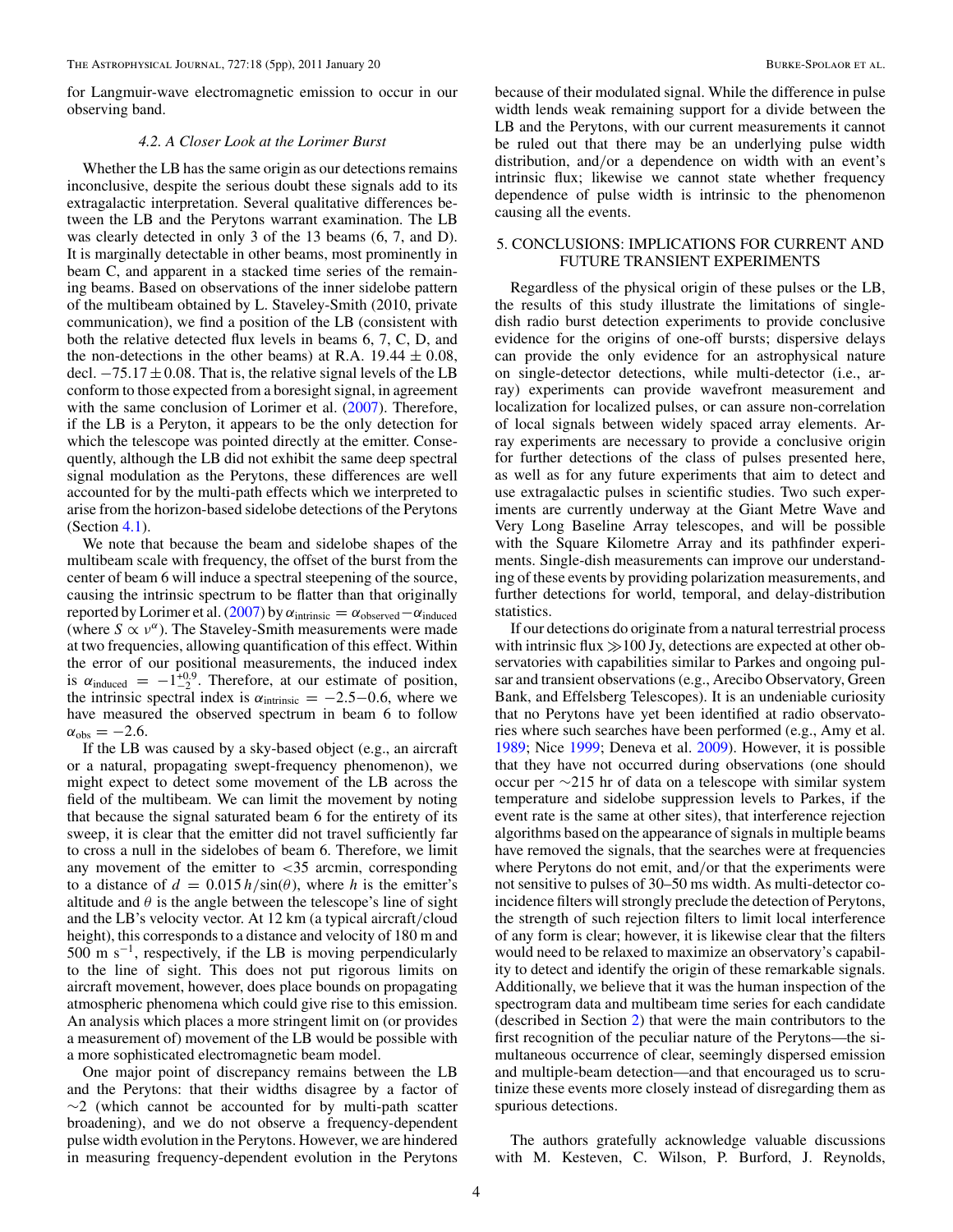for Langmuir-wave electromagnetic emission to occur in our observing band.

## *4.2. A Closer Look at the Lorimer Burst*

Whether the LB has the same origin as our detections remains inconclusive, despite the serious doubt these signals add to its extragalactic interpretation. Several qualitative differences between the LB and the Perytons warrant examination. The LB was clearly detected in only 3 of the 13 beams (6, 7, and D). It is marginally detectable in other beams, most prominently in beam C, and apparent in a stacked time series of the remaining beams. Based on observations of the inner sidelobe pattern of the multibeam obtained by L. Staveley-Smith (2010, private communication), we find a position of the LB (consistent with both the relative detected flux levels in beams 6, 7, C, D, and the non-detections in the other beams) at R.A.  $19.44 \pm 0.08$ , decl. −75*.*17±0*.*08. That is, the relative signal levels of the LB conform to those expected from a boresight signal, in agreement with the same conclusion of Lorimer et al. [\(2007\)](#page-5-0). Therefore, if the LB is a Peryton, it appears to be the only detection for which the telescope was pointed directly at the emitter. Consequently, although the LB did not exhibit the same deep spectral signal modulation as the Perytons, these differences are well accounted for by the multi-path effects which we interpreted to arise from the horizon-based sidelobe detections of the Perytons (Section  $4.1$ ).

We note that because the beam and sidelobe shapes of the multibeam scale with frequency, the offset of the burst from the center of beam 6 will induce a spectral steepening of the source, causing the intrinsic spectrum to be flatter than that originally reported by Lorimer et al. [\(2007\)](#page-5-0) by  $\alpha_{\text{intrinsic}} = \alpha_{\text{observed}} - \alpha_{\text{induced}}$ (where  $S \propto v^{\alpha}$ ). The Staveley-Smith measurements were made at two frequencies, allowing quantification of this effect. Within the error of our positional measurements, the induced index is  $\alpha_{induced} = -1_{-2}^{1+0.9}$ . Therefore, at our estimate of position, the intrinsic spectral index is  $\alpha$ <sub>intrinsic</sub> = −2*.5*−0*.6*, where we have measured the observed spectrum in beam 6 to follow  $\alpha_{\rm obs} = -2.6$ .

If the LB was caused by a sky-based object (e.g., an aircraft or a natural, propagating swept-frequency phenomenon), we might expect to detect some movement of the LB across the field of the multibeam. We can limit the movement by noting that because the signal saturated beam 6 for the entirety of its sweep, it is clear that the emitter did not travel sufficiently far to cross a null in the sidelobes of beam 6. Therefore, we limit any movement of the emitter to *<*35 arcmin, corresponding to a distance of  $d = 0.015 h/sin(\theta)$ , where *h* is the emitter's altitude and  $\theta$  is the angle between the telescope's line of sight and the LB's velocity vector. At 12 km (a typical aircraft*/*cloud height), this corresponds to a distance and velocity of 180 m and 500 m s−1, respectively, if the LB is moving perpendicularly to the line of sight. This does not put rigorous limits on aircraft movement, however, does place bounds on propagating atmospheric phenomena which could give rise to this emission. An analysis which places a more stringent limit on (or provides a measurement of) movement of the LB would be possible with a more sophisticated electromagnetic beam model.

One major point of discrepancy remains between the LB and the Perytons: that their widths disagree by a factor of  $\sim$ 2 (which cannot be accounted for by multi-path scatter broadening), and we do not observe a frequency-dependent pulse width evolution in the Perytons. However, we are hindered in measuring frequency-dependent evolution in the Perytons

because of their modulated signal. While the difference in pulse width lends weak remaining support for a divide between the LB and the Perytons, with our current measurements it cannot be ruled out that there may be an underlying pulse width distribution, and*/*or a dependence on width with an event's intrinsic flux; likewise we cannot state whether frequency dependence of pulse width is intrinsic to the phenomenon causing all the events.

## 5. CONCLUSIONS: IMPLICATIONS FOR CURRENT AND FUTURE TRANSIENT EXPERIMENTS

Regardless of the physical origin of these pulses or the LB, the results of this study illustrate the limitations of singledish radio burst detection experiments to provide conclusive evidence for the origins of one-off bursts; dispersive delays can provide the only evidence for an astrophysical nature on single-detector detections, while multi-detector (i.e., array) experiments can provide wavefront measurement and localization for localized pulses, or can assure non-correlation of local signals between widely spaced array elements. Array experiments are necessary to provide a conclusive origin for further detections of the class of pulses presented here, as well as for any future experiments that aim to detect and use extragalactic pulses in scientific studies. Two such experiments are currently underway at the Giant Metre Wave and Very Long Baseline Array telescopes, and will be possible with the Square Kilometre Array and its pathfinder experiments. Single-dish measurements can improve our understanding of these events by providing polarization measurements, and further detections for world, temporal, and delay-distribution statistics.

If our detections do originate from a natural terrestrial process with intrinsic flux  $\gg$  100 Jy, detections are expected at other observatories with capabilities similar to Parkes and ongoing pulsar and transient observations (e.g., Arecibo Observatory, Green Bank, and Effelsberg Telescopes). It is an undeniable curiosity that no Perytons have yet been identified at radio observatories where such searches have been performed (e.g., Amy et al. [1989;](#page-5-0) Nice [1999;](#page-5-0) Deneva et al. [2009\)](#page-5-0). However, it is possible that they have not occurred during observations (one should occur per ∼215 hr of data on a telescope with similar system temperature and sidelobe suppression levels to Parkes, if the event rate is the same at other sites), that interference rejection algorithms based on the appearance of signals in multiple beams have removed the signals, that the searches were at frequencies where Perytons do not emit, and*/*or that the experiments were not sensitive to pulses of 30–50 ms width. As multi-detector coincidence filters will strongly preclude the detection of Perytons, the strength of such rejection filters to limit local interference of any form is clear; however, it is likewise clear that the filters would need to be relaxed to maximize an observatory's capability to detect and identify the origin of these remarkable signals. Additionally, we believe that it was the human inspection of the spectrogram data and multibeam time series for each candidate (described in Section [2\)](#page-1-0) that were the main contributors to the first recognition of the peculiar nature of the Perytons—the simultaneous occurrence of clear, seemingly dispersed emission and multiple-beam detection—and that encouraged us to scrutinize these events more closely instead of disregarding them as spurious detections.

The authors gratefully acknowledge valuable discussions with M. Kesteven, C. Wilson, P. Burford, J. Reynolds,